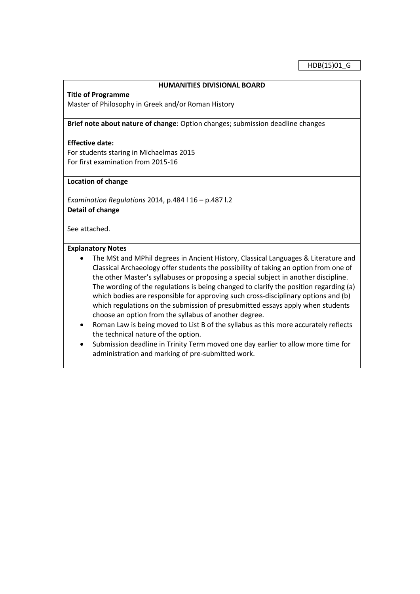HDB(15)01\_G

#### **HUMANITIES DIVISIONAL BOARD**

**Title of Programme**

Master of Philosophy in Greek and/or Roman History

**Brief note about nature of change**: Option changes; submission deadline changes

#### **Effective date:**

For students staring in Michaelmas 2015 For first examination from 2015-16

#### **Location of change**

*Examination Regulations* 2014, p.484 l 16 – p.487 l.2

#### **Detail of change**

See attached.

#### **Explanatory Notes**

- The MSt and MPhil degrees in Ancient History, Classical Languages & Literature and Classical Archaeology offer students the possibility of taking an option from one of the other Master's syllabuses or proposing a special subject in another discipline. The wording of the regulations is being changed to clarify the position regarding (a) which bodies are responsible for approving such cross-disciplinary options and (b) which regulations on the submission of presubmitted essays apply when students choose an option from the syllabus of another degree.
- Roman Law is being moved to List B of the syllabus as this more accurately reflects the technical nature of the option.
- Submission deadline in Trinity Term moved one day earlier to allow more time for administration and marking of pre-submitted work.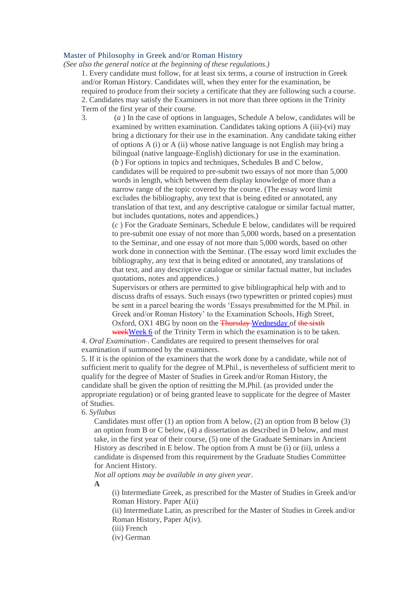#### Master of Philosophy in Greek and/or Roman History

*(See also the general notice at the beginning of these regulations.)*

1. Every candidate must follow, for at least six terms, a course of instruction in Greek and/or Roman History. Candidates will, when they enter for the examination, be required to produce from their society a certificate that they are following such a course. 2. Candidates may satisfy the Examiners in not more than three options in the Trinity Term of the first year of their course.

3. (*a* ) In the case of options in languages, Schedule A below, candidates will be examined by written examination. Candidates taking options A (iii)-(vi) may bring a dictionary for their use in the examination. Any candidate taking either of options A (i) or A (ii) whose native language is not English may bring a bilingual (native language-English) dictionary for use in the examination. (*b* ) For options in topics and techniques, Schedules B and C below, candidates will be required to pre-submit two essays of not more than 5,000 words in length, which between them display knowledge of more than a narrow range of the topic covered by the course. (The essay word limit excludes the bibliography, any text that is being edited or annotated, any translation of that text, and any descriptive catalogue or similar factual matter, but includes quotations, notes and appendices.)

> (*c* ) For the Graduate Seminars, Schedule E below, candidates will be required to pre-submit one essay of not more than 5,000 words, based on a presentation to the Seminar, and one essay of not more than 5,000 words, based on other work done in connection with the Seminar. (The essay word limit excludes the bibliography, any text that is being edited or annotated, any translations of that text, and any descriptive catalogue or similar factual matter, but includes quotations, notes and appendices.)

Supervisors or others are permitted to give bibliographical help with and to discuss drafts of essays. Such essays (two typewritten or printed copies) must be sent in a parcel bearing the words 'Essays presubmitted for the M.Phil. in Greek and/or Roman History' to the Examination Schools, High Street, Oxford, OX1 4BG by noon on the Thursday-Wednesday of the sixth weekWeek 6 of the Trinity Term in which the examination is to be taken.

4. *Oral Examination* . Candidates are required to present themselves for oral examination if summoned by the examiners.

5. If it is the opinion of the examiners that the work done by a candidate, while not of sufficient merit to qualify for the degree of M.Phil., is nevertheless of sufficient merit to qualify for the degree of Master of Studies in Greek and/or Roman History, the candidate shall be given the option of resitting the M.Phil. (as provided under the appropriate regulation) or of being granted leave to supplicate for the degree of Master of Studies.

6. *Syllabus*

Candidates must offer (1) an option from A below, (2) an option from B below (3) an option from B or C below, (4) a dissertation as described in D below, and must take, in the first year of their course, (5) one of the Graduate Seminars in Ancient History as described in E below. The option from A must be (i) or (ii), unless a candidate is dispensed from this requirement by the Graduate Studies Committee for Ancient History.

*Not all options may be available in any given year*.

**A**

(i) Intermediate Greek, as prescribed for the Master of Studies in Greek and/or Roman History. Paper A(ii)

(ii) Intermediate Latin, as prescribed for the Master of Studies in Greek and/or Roman History, Paper A(iv).

- (iii) French
- (iv) German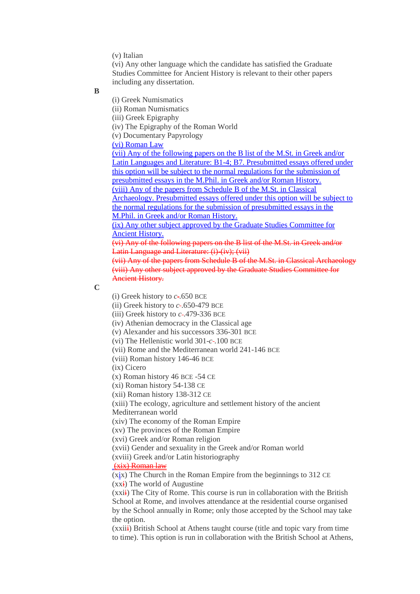(v) Italian

(vi) Any other language which the candidate has satisfied the Graduate Studies Committee for Ancient History is relevant to their other papers including any dissertation.

#### **B**

- (i) Greek Numismatics
- (ii) Roman Numismatics
- (iii) Greek Epigraphy
- (iv) The Epigraphy of the Roman World
- (v) Documentary Papyrology
- (vi) Roman Law
- (vii) Any of the following papers on the B list of the M.St. in Greek and/or Latin Languages and Literature: B1-4; B7. Presubmitted essays offered under this option will be subject to the normal regulations for the submission of presubmitted essays in the M.Phil. in Greek and/or Roman History.
- (viii) Any of the papers from Schedule B of the M.St. in Classical Archaeology. Presubmitted essays offered under this option will be subject to the normal regulations for the submission of presubmitted essays in the
- M.Phil. in Greek and/or Roman History.
- (ix) Any other subject approved by the Graduate Studies Committee for Ancient History.
- (vi) Any of the following papers on the B list of the M.St. in Greek and/or Latin Language and Literature: (i) (iv); (vii)
- (vii) Any of the papers from Schedule B of the M.St. in Classical Archaeology (viii) Any other subject approved by the Graduate Studies Committee for Ancient History.

**C**

- (i) Greek history to *c* .650 BCE
- (ii) Greek history to  $c$ -.650-479 BCE
- (iii) Greek history to *c* .479-336 BCE
- (iv) Athenian democracy in the Classical age
- (v) Alexander and his successors 336-301 BCE
- (vi) The Hellenistic world 301-*c* .100 BCE
- (vii) Rome and the Mediterranean world 241-146 BCE
- (viii) Roman history 146-46 BCE

(ix) Cicero

- (x) Roman history 46 BCE -54 CE
- (xi) Roman history 54-138 CE
- (xii) Roman history 138-312 CE
- (xiii) The ecology, agriculture and settlement history of the ancient Mediterranean world
- (xiv) The economy of the Roman Empire
- (xv) The provinces of the Roman Empire
- (xvi) Greek and/or Roman religion
- (xvii) Gender and sexuality in the Greek and/or Roman world
- (xviii) Greek and/or Latin historiography

### (xix) Roman law

 $(xix)$  The Church in the Roman Empire from the beginnings to 312 CE

(xxi) The world of Augustine

(xxii) The City of Rome. This course is run in collaboration with the British School at Rome, and involves attendance at the residential course organised by the School annually in Rome; only those accepted by the School may take the option.

(xxiii) British School at Athens taught course (title and topic vary from time to time). This option is run in collaboration with the British School at Athens,